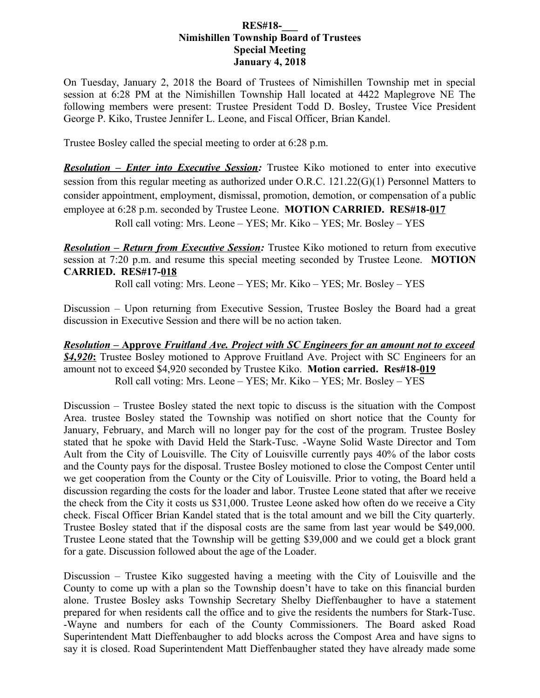## **RES#18-\_\_\_ Nimishillen Township Board of Trustees Special Meeting January 4, 2018**

On Tuesday, January 2, 2018 the Board of Trustees of Nimishillen Township met in special session at 6:28 PM at the Nimishillen Township Hall located at 4422 Maplegrove NE The following members were present: Trustee President Todd D. Bosley, Trustee Vice President George P. Kiko, Trustee Jennifer L. Leone, and Fiscal Officer, Brian Kandel.

Trustee Bosley called the special meeting to order at 6:28 p.m.

*Resolution – Enter into Executive Session:* Trustee Kiko motioned to enter into executive session from this regular meeting as authorized under O.R.C. 121.22(G)(1) Personnel Matters to consider appointment, employment, dismissal, promotion, demotion, or compensation of a public employee at 6:28 p.m. seconded by Trustee Leone. **MOTION CARRIED. RES#18-017**

Roll call voting: Mrs. Leone – YES; Mr. Kiko – YES; Mr. Bosley – YES

*Resolution – Return from Executive Session:* Trustee Kiko motioned to return from executive session at 7:20 p.m. and resume this special meeting seconded by Trustee Leone. **MOTION CARRIED. RES#17-018**

Roll call voting: Mrs. Leone – YES; Mr. Kiko – YES; Mr. Bosley – YES

Discussion – Upon returning from Executive Session, Trustee Bosley the Board had a great discussion in Executive Session and there will be no action taken.

 *Resolution* **– Approve** *Fruitland Ave. Project with SC Engineers for an amount not to exceed* **<u>\$4,920</u>**: Trustee Bosley motioned to Approve Fruitland Ave. Project with SC Engineers for an amount not to exceed \$4,920 seconded by Trustee Kiko. **Motion carried. Res#18-019** Roll call voting: Mrs. Leone – YES; Mr. Kiko – YES; Mr. Bosley – YES

Discussion – Trustee Bosley stated the next topic to discuss is the situation with the Compost Area. trustee Bosley stated the Township was notified on short notice that the County for January, February, and March will no longer pay for the cost of the program. Trustee Bosley stated that he spoke with David Held the Stark-Tusc. -Wayne Solid Waste Director and Tom Ault from the City of Louisville. The City of Louisville currently pays 40% of the labor costs and the County pays for the disposal. Trustee Bosley motioned to close the Compost Center until we get cooperation from the County or the City of Louisville. Prior to voting, the Board held a discussion regarding the costs for the loader and labor. Trustee Leone stated that after we receive the check from the City it costs us \$31,000. Trustee Leone asked how often do we receive a City check. Fiscal Officer Brian Kandel stated that is the total amount and we bill the City quarterly. Trustee Bosley stated that if the disposal costs are the same from last year would be \$49,000. Trustee Leone stated that the Township will be getting \$39,000 and we could get a block grant for a gate. Discussion followed about the age of the Loader.

Discussion – Trustee Kiko suggested having a meeting with the City of Louisville and the County to come up with a plan so the Township doesn't have to take on this financial burden alone. Trustee Bosley asks Township Secretary Shelby Dieffenbaugher to have a statement prepared for when residents call the office and to give the residents the numbers for Stark-Tusc. -Wayne and numbers for each of the County Commissioners. The Board asked Road Superintendent Matt Dieffenbaugher to add blocks across the Compost Area and have signs to say it is closed. Road Superintendent Matt Dieffenbaugher stated they have already made some